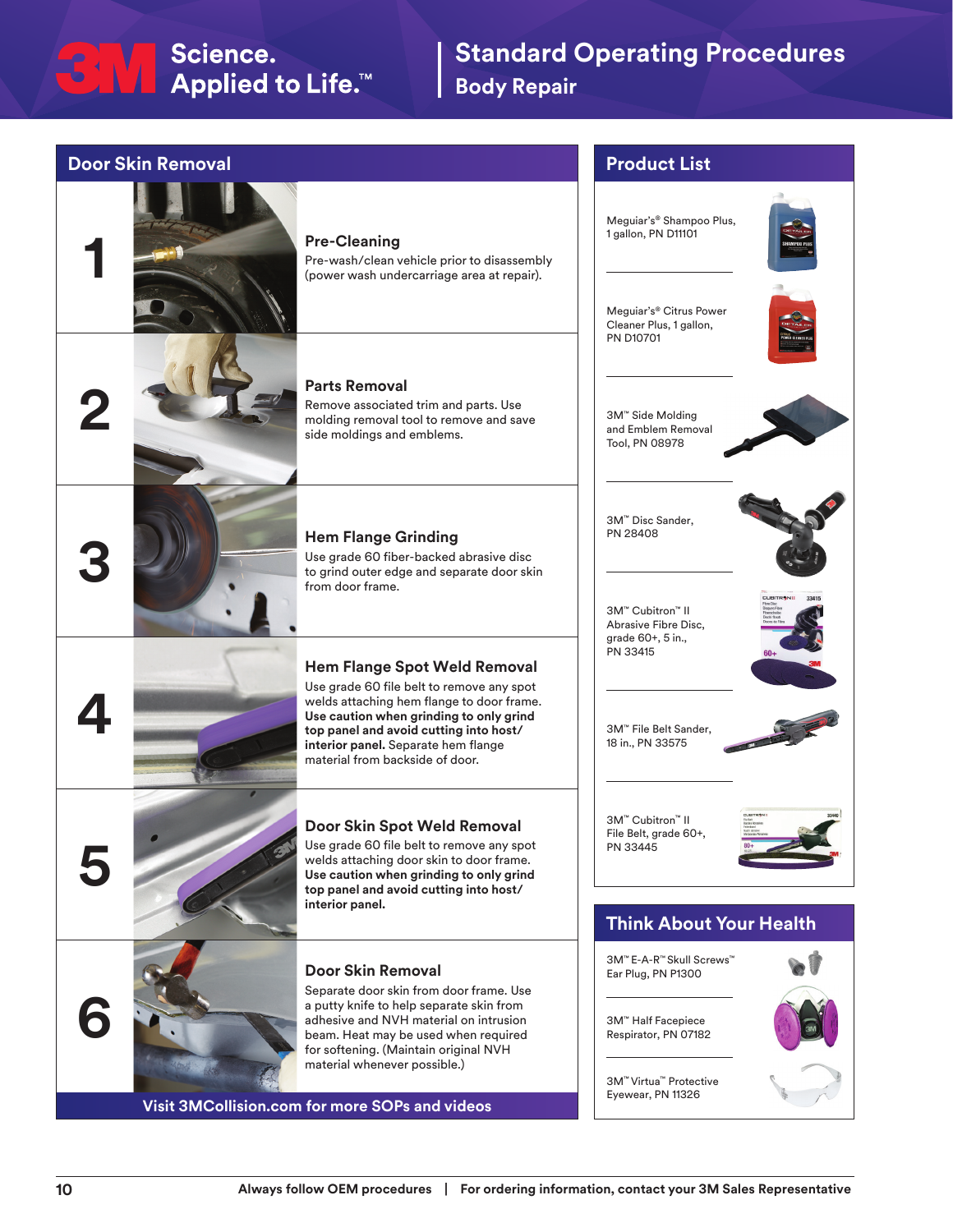## <del>C</del>NN Science.<br>■ Applied to Life.™

## **Standard Operating Procedures Body Repair**